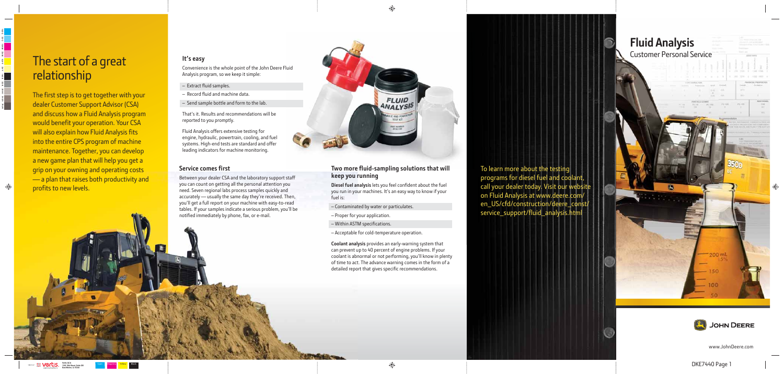www.JohnDeere.com

# The start of a great relationship

The first step is to get together with your dealer Customer Support Advisor (CSA) and discuss how a Fluid Analysis program would benefit your operation. Your CSA will also explain how Fluid Analysis fits into the entire CPS program of machine maintenance. Together, you can develop a new game plan that will help you get a grip on your owning and operating costs  $\frac{1}{2}$  a plan that raises both productivity and profits to new levels.

# **It's easy**

- Extract fluid samples.
- Record fluid and machine data.
- Send sample bottle and form to the lab.

Convenience is the whole point of the John Deere Fluid Analysis program, so we keep it simple:

> To learn more about the testing programs for diesel fuel and coolant, call your dealer today. Visit our websit on Fluid Analysis at www.deere.com/ en\_US/cfd/construction/deere\_const/ service\_support/fluid\_analysis.html



That's it. Results and recommendations will be reported to you promptly.

Between your dealer CSA and the laboratory support staff you can count on getting all the personal attention you need. Seven regional labs process samples quickly and accurately — usually the same day they're received. Then, you'll get a full report on your machine with easy-to-read tables. If your samples indicate a serious problem, you'll be notified immediately by phone, fax, or e-mail.



Fluid Analysis offers extensive testing for engine, hydraulic, powertrain, cooling, and fuel systems. High-end tests are standard and offer leading indicators for machine monitoring.

## **Service comes first**

## **Two more fluid-sampling solutions that will keep you running**

**Diesel fuel analysis** lets you feel confident about the fuel you run in your machines. It's an easy way to know if your fuel is:

**Coolant analysis** provides an early-warning system that can prevent up to 40 percent of engine problems. If your coolant is abnormal or not performing, you'll know in plenty of time to act. The advance warning comes in the form of a detailed report that gives specific recommendations.

# **Fluid Analysis** Customer Personal Service 200 ml

- Contaminated by water or particulates.
- Proper for your application.
- Within ASTM specifications.
- Acceptable for cold-temperature operation.